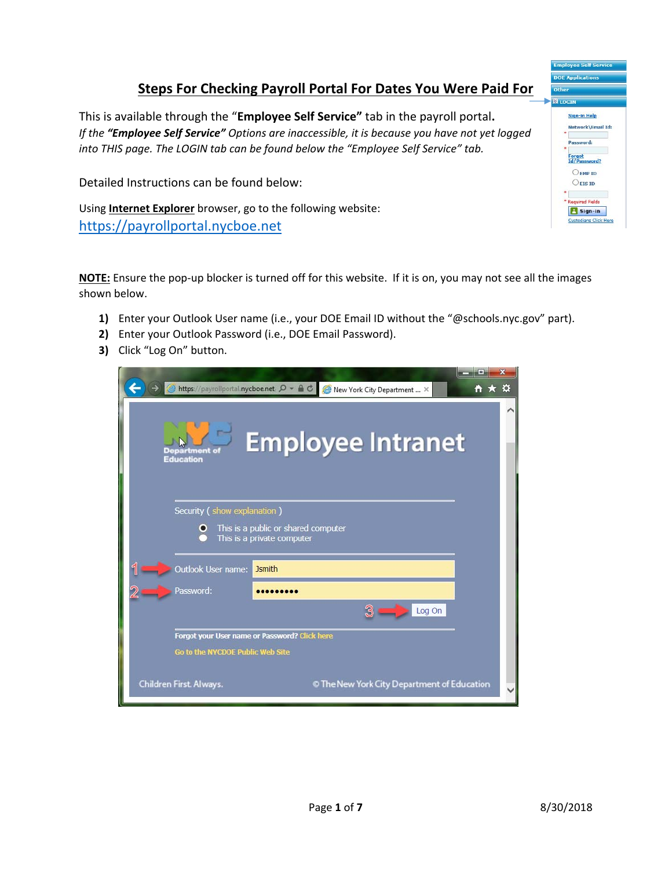## **Steps For Checking Payroll Portal For Dates You Were Paid For**

This is available through the "**Employee Self Service"** tab in the payroll portal**.**  *If the "Employee Self Service" Options are inaccessible, it is because you have not yet logged into THIS page. The LOGIN tab can be found below the "Employee Self Service" tab.* 

Detailed Instructions can be found below:

Using **Internet Explorer** browser, go to the following website: https://payrollportal.nycboe.net

**NOTE:** Ensure the pop‐up blocker is turned off for this website. If it is on, you may not see all the images shown below.

- **1)** Enter your Outlook User name (i.e., your DOE Email ID without the "@schools.nyc.gov" part).
- **2)** Enter your Outlook Password (i.e., DOE Email Password).
- **3)** Click "Log On" button.

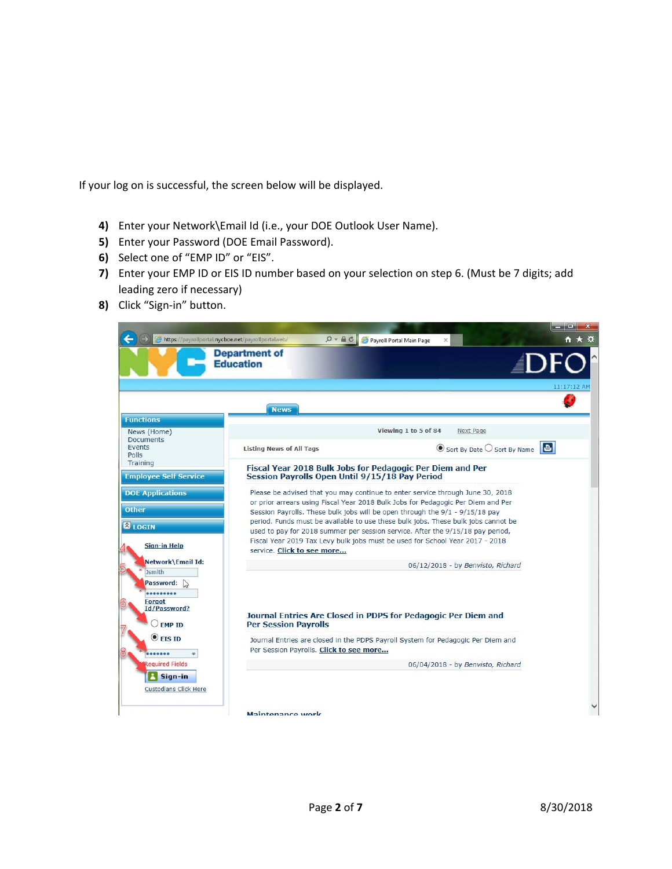If your log on is successful, the screen below will be displayed.

- **4)** Enter your Network\Email Id (i.e., your DOE Outlook User Name).
- **5)** Enter your Password (DOE Email Password).
- **6)** Select one of "EMP ID" or "EIS".
- **7)** Enter your EMP ID or EIS ID number based on your selection on step 6. (Must be 7 digits; add leading zero if necessary)
- **8)** Click "Sign‐in" button.

|                                                                                      |                                                | <u>na një Sin</u>                                                                                                                                                                                                                                                                                                                                                                                                                                                                                         |
|--------------------------------------------------------------------------------------|------------------------------------------------|-----------------------------------------------------------------------------------------------------------------------------------------------------------------------------------------------------------------------------------------------------------------------------------------------------------------------------------------------------------------------------------------------------------------------------------------------------------------------------------------------------------|
| https://payrollportal.nycboe.net/payrollportalweb/                                   | $Q - \theta C$                                 | Payroll Portal Main Page                                                                                                                                                                                                                                                                                                                                                                                                                                                                                  |
|                                                                                      | <b>Department of</b><br><b>Education</b>       |                                                                                                                                                                                                                                                                                                                                                                                                                                                                                                           |
|                                                                                      |                                                | 11:17:12 AM                                                                                                                                                                                                                                                                                                                                                                                                                                                                                               |
|                                                                                      | <b>News</b>                                    |                                                                                                                                                                                                                                                                                                                                                                                                                                                                                                           |
| <b>Functions</b>                                                                     |                                                |                                                                                                                                                                                                                                                                                                                                                                                                                                                                                                           |
| News (Home)<br><b>Documents</b>                                                      |                                                | Viewing 1 to 5 of 84<br>Next Page                                                                                                                                                                                                                                                                                                                                                                                                                                                                         |
| Events                                                                               | <b>Listing News of All Tags</b>                | $\odot$ Sort By Date $\bigcirc$ Sort By Name                                                                                                                                                                                                                                                                                                                                                                                                                                                              |
| Training<br><b>Employee Self Service</b>                                             | Session Payrolls Open Until 9/15/18 Pay Period | Fiscal Year 2018 Bulk Jobs for Pedagogic Per Diem and Per                                                                                                                                                                                                                                                                                                                                                                                                                                                 |
| <b>DOE Applications</b><br><b>Other</b><br><b>&amp; LOGIN</b><br><b>Sign-in Help</b> | service. Click to see more                     | Please be advised that you may continue to enter service through June 30, 2018<br>or prior arrears using Fiscal Year 2018 Bulk Jobs for Pedagogic Per Diem and Per<br>Session Payrolls. These bulk jobs will be open through the 9/1 - 9/15/18 pay<br>period. Funds must be available to use these bulk jobs. These bulk jobs cannot be<br>used to pay for 2018 summer per session service. After the 9/15/18 pay period,<br>Fiscal Year 2019 Tax Levy bulk jobs must be used for School Year 2017 - 2018 |
| Network\Email Id:                                                                    |                                                | 06/12/2018 - by Benvisto, Richard                                                                                                                                                                                                                                                                                                                                                                                                                                                                         |
| <b>Jsmith</b><br>Password:<br>Forgot<br>Id/Password?<br>$\bigcirc$ EMP ID            | <b>Per Session Pavrolls</b>                    | Journal Entries Are Closed in PDPS for Pedagogic Per Diem and                                                                                                                                                                                                                                                                                                                                                                                                                                             |
| $\odot$ EIS ID                                                                       |                                                | Journal Entries are closed in the PDPS Payroll System for Pedagogic Per Diem and                                                                                                                                                                                                                                                                                                                                                                                                                          |
|                                                                                      | Per Session Payrolls. Click to see more        |                                                                                                                                                                                                                                                                                                                                                                                                                                                                                                           |
| <b>Required Fields</b>                                                               |                                                | 06/04/2018 - by Benvisto, Richard                                                                                                                                                                                                                                                                                                                                                                                                                                                                         |
| Sign-in                                                                              |                                                |                                                                                                                                                                                                                                                                                                                                                                                                                                                                                                           |
| <b>Custodians Click Here</b>                                                         |                                                |                                                                                                                                                                                                                                                                                                                                                                                                                                                                                                           |
|                                                                                      |                                                |                                                                                                                                                                                                                                                                                                                                                                                                                                                                                                           |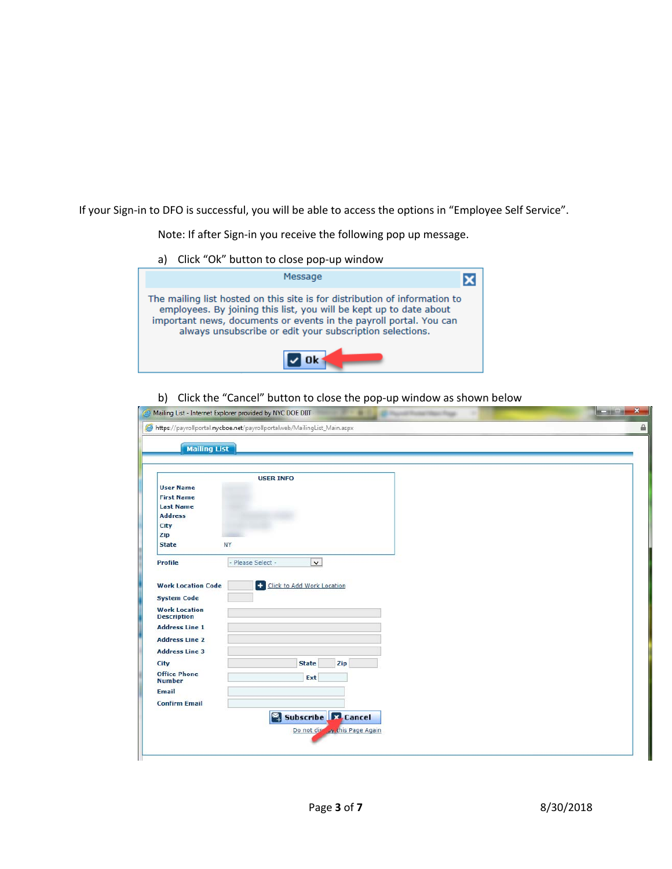If your Sign-in to DFO is successful, you will be able to access the options in "Employee Self Service".

Note: If after Sign‐in you receive the following pop up message.

a) Click "Ok" button to close pop-up window



b) Click the "Cancel" button to close the pop-up window as shown below

| <b>Mailing List</b>                                                                                           |                              |  |
|---------------------------------------------------------------------------------------------------------------|------------------------------|--|
|                                                                                                               |                              |  |
|                                                                                                               | <b>USER INFO</b>             |  |
| <b>User Name</b>                                                                                              |                              |  |
| <b>First Name</b>                                                                                             |                              |  |
| <b>Last Name</b>                                                                                              |                              |  |
| <b>Address</b>                                                                                                |                              |  |
| City                                                                                                          |                              |  |
| Zip                                                                                                           |                              |  |
| NY<br><b>State</b>                                                                                            |                              |  |
| Profile<br>- Please Select -                                                                                  | $\checkmark$                 |  |
|                                                                                                               |                              |  |
|                                                                                                               |                              |  |
| <b>Work Location Code</b>                                                                                     | + Click to Add Work Location |  |
| <b>System Code</b>                                                                                            |                              |  |
|                                                                                                               |                              |  |
|                                                                                                               |                              |  |
|                                                                                                               |                              |  |
| <b>Work Location</b><br><b>Description</b><br><b>Address Line 1</b><br><b>Address Line 2</b>                  |                              |  |
|                                                                                                               |                              |  |
|                                                                                                               | <b>State</b><br>Zip          |  |
|                                                                                                               | Ext                          |  |
|                                                                                                               |                              |  |
| <b>Address Line 3</b><br><b>City</b><br><b>Office Phone</b><br><b>Number</b><br>Email<br><b>Confirm Email</b> |                              |  |
|                                                                                                               | Subscribe <b>32</b> Cancel   |  |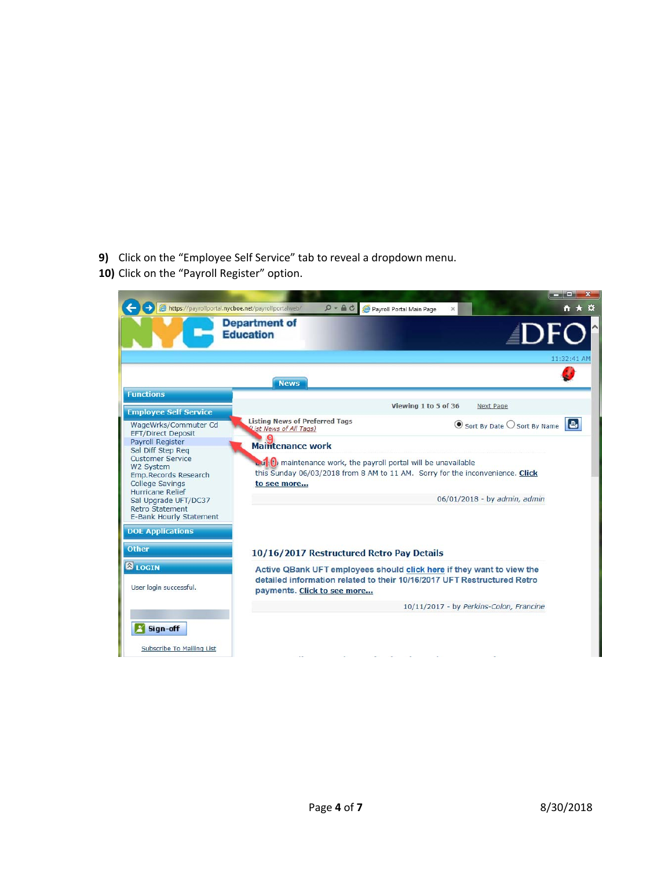- **9)** Click on the "Employee Self Service" tab to reveal a dropdown menu.
- 10) Click on the "Payroll Register" option.

|                                                                                                                                                                                                                                                 | https://payrollportal.nycboe.net/payrollportalweb/<br>$D - \triangle C$                                                                                                                                                         | Payroll Portal Main Page<br>× | $   X$<br><del>n</del> ★ ☆                   |
|-------------------------------------------------------------------------------------------------------------------------------------------------------------------------------------------------------------------------------------------------|---------------------------------------------------------------------------------------------------------------------------------------------------------------------------------------------------------------------------------|-------------------------------|----------------------------------------------|
|                                                                                                                                                                                                                                                 | <b>Department of</b><br><b>Education</b>                                                                                                                                                                                        |                               | <b>DF</b><br>11:32:41 AM                     |
|                                                                                                                                                                                                                                                 | <b>News</b>                                                                                                                                                                                                                     |                               |                                              |
| <b>Functions</b>                                                                                                                                                                                                                                |                                                                                                                                                                                                                                 | Viewing 1 to 5 of 36          | Next Page                                    |
| <b>Employee Self Service</b><br>WageWrks/Commuter Cd                                                                                                                                                                                            | <b>Listing News of Preferred Tags</b>                                                                                                                                                                                           |                               | $\odot$ Sort By Date $\bigcirc$ Sort By Name |
| EFT/Direct Deposit<br>Payroll Register<br>Sal Diff Step Reg<br>Customer Service<br>W2 System<br>Emp.Records Research<br><b>College Savings</b><br><b>Hurricane Relief</b><br>Sal Upgrade UFT/DC37<br>Retro Statement<br>E-Bank Hourly Statement | (List News of All Tags)<br><b>Maintenance work</b><br><b>Dut</b> : (b) maintenance work, the payroll portal will be unavailable<br>this Sunday 06/03/2018 from 8 AM to 11 AM. Sorry for the inconvenience. Click<br>to see more |                               | 06/01/2018 - by admin, admin                 |
| <b>DOE Applications</b>                                                                                                                                                                                                                         |                                                                                                                                                                                                                                 |                               |                                              |
| <b>Other</b>                                                                                                                                                                                                                                    | 10/16/2017 Restructured Retro Pay Details                                                                                                                                                                                       |                               |                                              |
| <b>BLOGIN</b><br>User login successful.                                                                                                                                                                                                         | Active QBank UFT employees should click here if they want to view the<br>detailed information related to their 10/16/2017 UFT Restructured Retro<br>payments. Click to see more                                                 |                               |                                              |
|                                                                                                                                                                                                                                                 |                                                                                                                                                                                                                                 |                               | 10/11/2017 - by Perkins-Colon, Francine      |
| Sign-off                                                                                                                                                                                                                                        |                                                                                                                                                                                                                                 |                               |                                              |
| Subscribe To Mailing List                                                                                                                                                                                                                       |                                                                                                                                                                                                                                 |                               |                                              |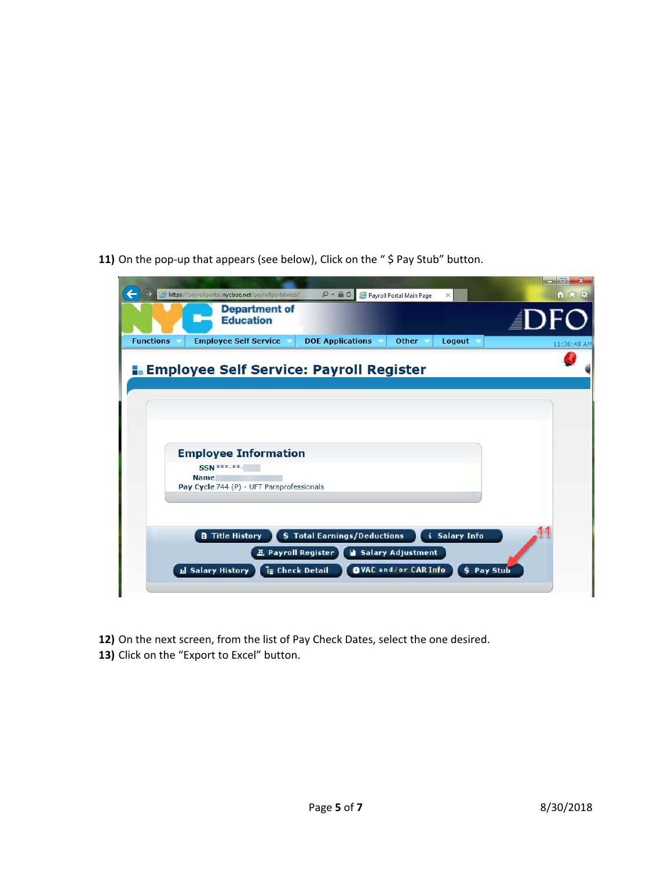**11)** On the pop-up that appears (see below), Click on the "\$ Pay Stub" button.



- **12)** On the next screen, from the list of Pay Check Dates, select the one desired.
- 13) Click on the "Export to Excel" button.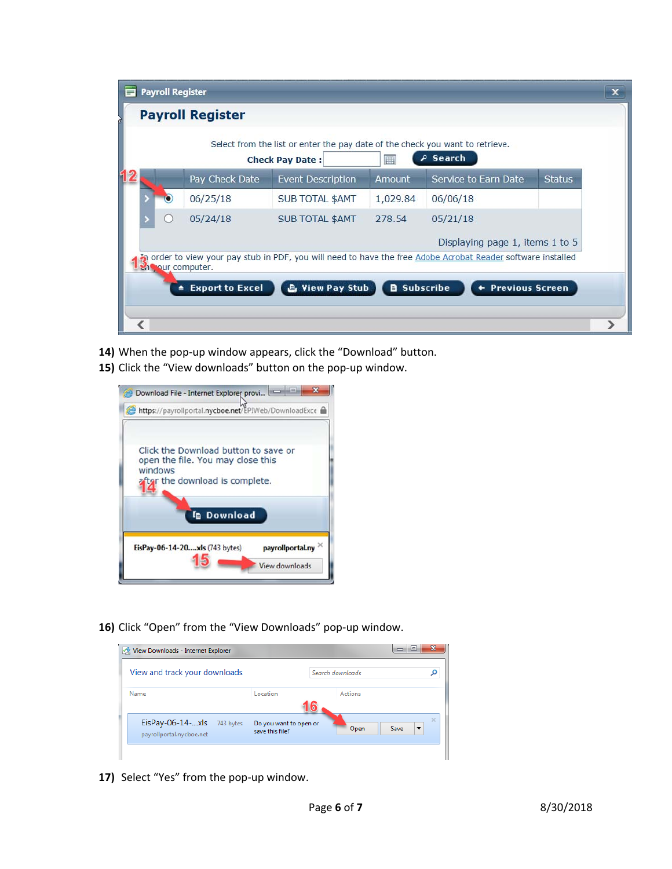| $\blacksquare$ | <b>Payroll Register</b> |                         |                                                                                                         |          |                                                                                                            |               |  |
|----------------|-------------------------|-------------------------|---------------------------------------------------------------------------------------------------------|----------|------------------------------------------------------------------------------------------------------------|---------------|--|
|                |                         | <b>Payroll Register</b> |                                                                                                         |          |                                                                                                            |               |  |
|                |                         |                         | Select from the list or enter the pay date of the check you want to retrieve.<br><b>Check Pay Date:</b> | 囲        | Search                                                                                                     |               |  |
|                |                         | Pay Check Date          | <b>Event Description</b>                                                                                | Amount   | Service to Earn Date                                                                                       | <b>Status</b> |  |
|                |                         | 06/25/18                | <b>SUB TOTAL \$AMT</b>                                                                                  | 1,029.84 | 06/06/18                                                                                                   |               |  |
|                |                         | 05/24/18                | <b>SUB TOTAL \$AMT</b>                                                                                  | 278.54   | 05/21/18                                                                                                   |               |  |
|                |                         |                         |                                                                                                         |          | Displaying page 1, items 1 to 5                                                                            |               |  |
|                |                         | en sour computer.       |                                                                                                         |          | order to view your pay stub in PDF, you will need to have the free Adobe Acrobat Reader software installed |               |  |
|                | ٠                       | <b>Export to Excel</b>  | <b>B</b> View Pay Stub                                                                                  | a.       | Subscribe<br><b>Previous Screen</b>                                                                        |               |  |
|                |                         |                         |                                                                                                         |          |                                                                                                            |               |  |
|                |                         |                         |                                                                                                         |          |                                                                                                            |               |  |

- 14) When the pop-up window appears, click the "Download" button.
- 15) Click the "View downloads" button on the pop-up window.



**16)** Click "Open" from the "View Downloads" pop‐up window.

| View Downloads - Internet Explorer                          |                                           | ⊫<br>▭           | х             |  |
|-------------------------------------------------------------|-------------------------------------------|------------------|---------------|--|
| View and track your downloads                               |                                           | Search downloads |               |  |
| Name                                                        | Location                                  | <b>Actions</b>   |               |  |
| $EisPay-06-14-xls$<br>743 bytes<br>payrollportal.nycboe.net | Do you want to open or<br>save this file? | Open<br>Save     | $\times$<br>▼ |  |
|                                                             |                                           |                  |               |  |

17) Select "Yes" from the pop-up window.